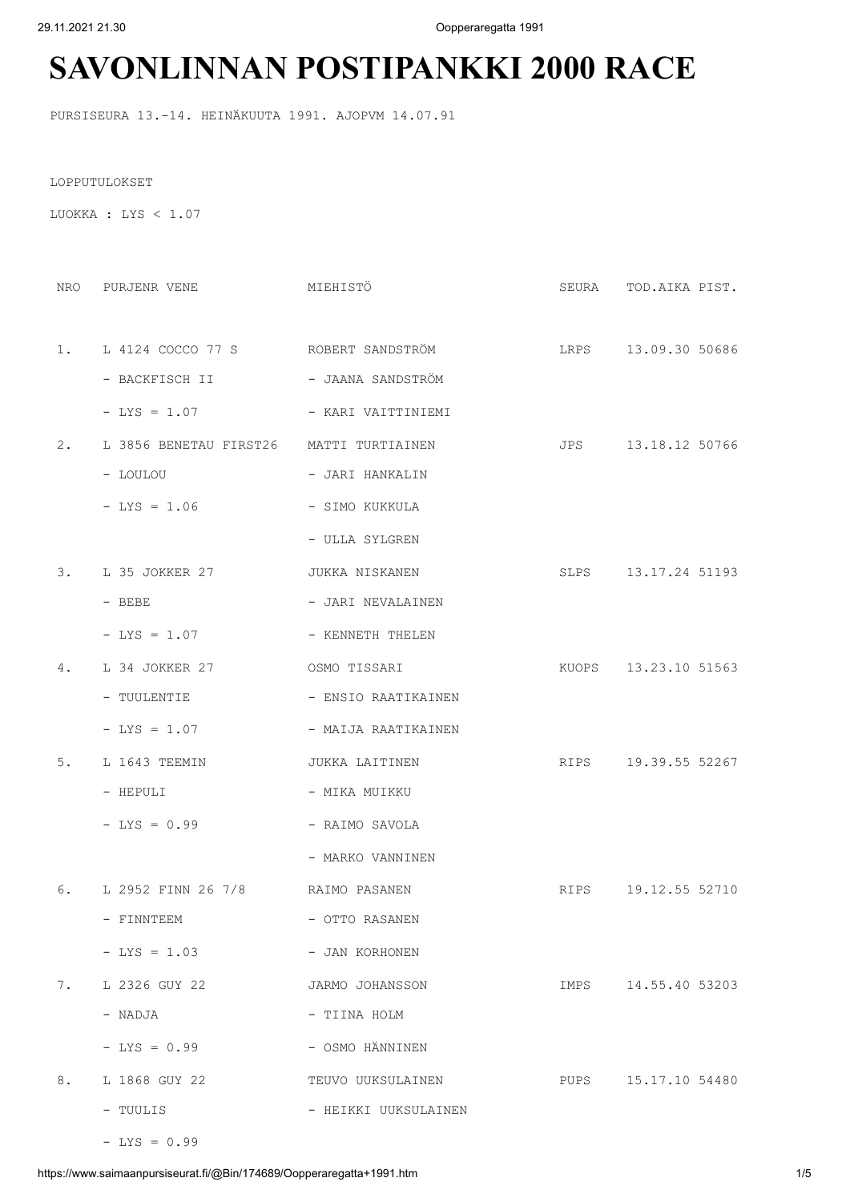29.11.2021 21.30 Oopperaregatta 1991

## **SAVONLINNAN POSTIPANKKI 2000 RACE**

PURSISEURA 13.-14. HEINÄKUUTA 1991. AJOPVM 14.07.91

LOPPUTULOKSET

LUOKKA : LYS < 1.07

| MIEHISTÖ<br>NRO PURJENR VENE               |                      | SEURA TOD. AIKA PIST. |
|--------------------------------------------|----------------------|-----------------------|
|                                            |                      |                       |
| 1. L 4124 COCCO 77 S ROBERT SANDSTRÖM      |                      | LRPS 13.09.30 50686   |
| - BACKFISCH II                             | - JAANA SANDSTRÖM    |                       |
| $-LYS = 1.07$                              | - KARI VAITTINIEMI   |                       |
| 2. L 3856 BENETAU FIRST26 MATTI TURTIAINEN |                      | JPS 13.18.12 50766    |
| - PONPON                                   | - JARI HANKALIN      |                       |
| $-LYS = 1.06$                              | - SIMO KUKKULA       |                       |
|                                            | - ULLA SYLGREN       |                       |
| 3. L 35 JOKKER 27                          | JUKKA NISKANEN       | SLPS 13.17.24 51193   |
| $-$ BEBE                                   | - JARI NEVALAINEN    |                       |
| $-$ LYS = 1.07                             | - KENNETH THELEN     |                       |
| 4. L 34 JOKKER 27                          | OSMO TISSARI         | KUOPS 13.23.10 51563  |
| - TUULENTIE                                | - ENSIO RAATIKAINEN  |                       |
| $-$ LYS = 1.07                             | - MAIJA RAATIKAINEN  |                       |
| 5. L 1643 TEEMIN                           | JUKKA LAITINEN       | RIPS 19.39.55 52267   |
| - HEPULI                                   | - MIKA MUIKKU        |                       |
| $-LYS = 0.99$                              | - RAIMO SAVOLA       |                       |
|                                            | - MARKO VANNINEN     |                       |
| 6. L 2952 FINN 26 7/8 RAIMO PASANEN        |                      | RIPS 19.12.55 52710   |
| - FINNTEEM                                 | - OTTO RASANEN       |                       |
| $-LYS = 1.03$                              | - JAN KORHONEN       |                       |
| 7. L 2326 GUY 22                           | JARMO JOHANSSON      | IMPS 14.55.40 53203   |
| - NADJA                                    | - TIINA HOLM         |                       |
| $-LYS = 0.99$                              | - OSMO HÄNNINEN      |                       |
| 8. L 1868 GUY 22                           | TEUVO UUKSULAINEN    | PUPS 15.17.10 54480   |
| - TUULIS                                   | - HEIKKI UUKSULAINEN |                       |

 $-LYS = 0.99$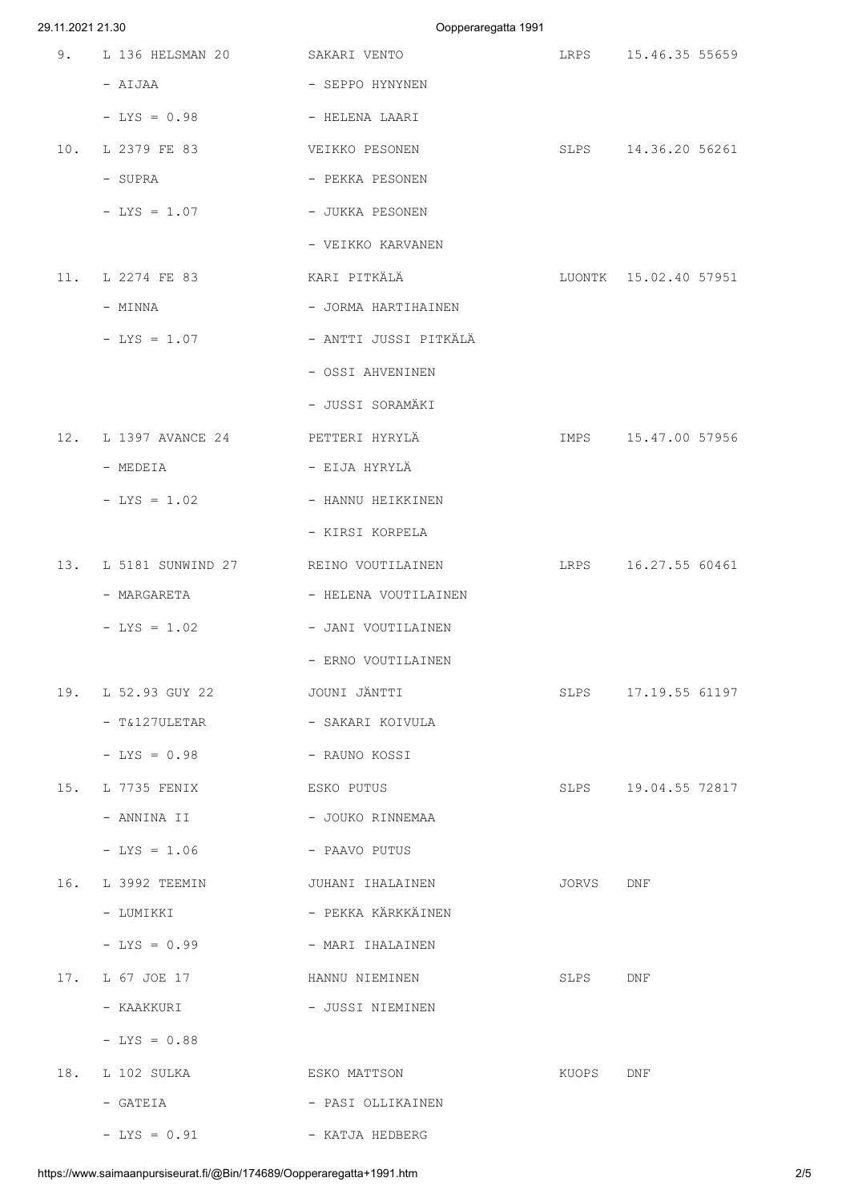| 29.11.2021 21.30 |                                                            |                                         | Oopperaregatta 1991 |                       |  |
|------------------|------------------------------------------------------------|-----------------------------------------|---------------------|-----------------------|--|
| 9.               | L 136 HELSMAN 20 SAKARI VENTO                              |                                         |                     | LRPS 15.46.35 55659   |  |
|                  | - AIJAA                                                    | - SEPPO HYNYNEN                         |                     |                       |  |
|                  | $-LYS = 0.98$                                              | - HELENA LAARI                          |                     |                       |  |
| 10.              | L 2379 FE 83                                               | VEIKKO PESONEN                          |                     | SLPS 14.36.20 56261   |  |
|                  | - SUPRA                                                    | - PEKKA PESONEN                         |                     |                       |  |
|                  | $-LYS = 1.07$                                              | - JUKKA PESONEN                         |                     |                       |  |
|                  |                                                            | - VEIKKO KARVANEN                       |                     |                       |  |
|                  | 11. L 2274 FE 83                                           | KARI PITKÄLÄ                            |                     | LUONTK 15.02.40 57951 |  |
|                  | - MINNA                                                    | - JORMA HARTIHAINEN                     |                     |                       |  |
|                  | $-LYS = 1.07$                                              | - ANTTI JUSSI PITKÄLÄ                   |                     |                       |  |
|                  |                                                            | - OSSI AHVENINEN                        |                     |                       |  |
|                  |                                                            | - JUSSI SORAMÄKI                        |                     |                       |  |
|                  | 12. L 1397 AVANCE 24 PETTERI HYRYLÄ                        |                                         |                     | IMPS 15.47.00 57956   |  |
|                  | - MEDEIA                                                   | - EIJA HYRYLÄ                           |                     |                       |  |
|                  | - LYS = 1.02 - HANNU HEIKKINEN                             |                                         |                     |                       |  |
|                  |                                                            | - KIRSI KORPELA                         |                     |                       |  |
|                  |                                                            | 13. L 5181 SUNWIND 27 REINO VOUTILAINEN |                     | LRPS 16.27.55 60461   |  |
|                  | - MARGARETA                                                | - HELENA VOUTILAINEN                    |                     |                       |  |
|                  | $-LYS = 1.02$                                              | - JANI VOUTILAINEN                      |                     |                       |  |
|                  |                                                            | - ERNO VOUTILAINEN                      |                     |                       |  |
|                  | 19. L 52.93 GUY 22                                         | JOUNI JÄNTTI                            |                     | SLPS 17.19.55 61197   |  |
|                  | - T&127ULETAR                                              | - SAKARI KOIVULA                        |                     |                       |  |
|                  | $-$ LYS = 0.98 $-$ RAUNO KOSSI                             |                                         |                     |                       |  |
| 15.              | L 7735 FENIX CSKO PUTUS                                    |                                         |                     | SLPS 19.04.55 72817   |  |
|                  | - ANNINA II                                 JOUKO RINNEMAA |                                         |                     |                       |  |
|                  | $-$ LYS = 1.06 $-$ PAAVO PUTUS                             |                                         |                     |                       |  |
| 16.              |                                                            | L 3992 TEEMIN JUHANI IHALAINEN          | JORVS DNF           |                       |  |
|                  | - LUMIKKI                                                  | - PEKKA KÄRKKÄINEN                      |                     |                       |  |
|                  | - LYS = 0.99 - MARI IHALAINEN                              |                                         |                     |                       |  |
|                  | 17. L 67 JOE 17                                            | HANNU NIEMINEN                          | SLPS DNF            |                       |  |
|                  | - KAAKKURI                                                 | - JUSSI NIEMINEN                        |                     |                       |  |
|                  | $-LYS = 0.88$                                              |                                         |                     |                       |  |
|                  | 18. L 102 SULKA                                            | ESKO MATTSON                            | KUOPS DNF           |                       |  |
|                  | - GATEIA                                                   | - PASI OLLIKAINEN                       |                     |                       |  |
|                  | $-LYS = 0.91$                                              | - KATJA HEDBERG                         |                     |                       |  |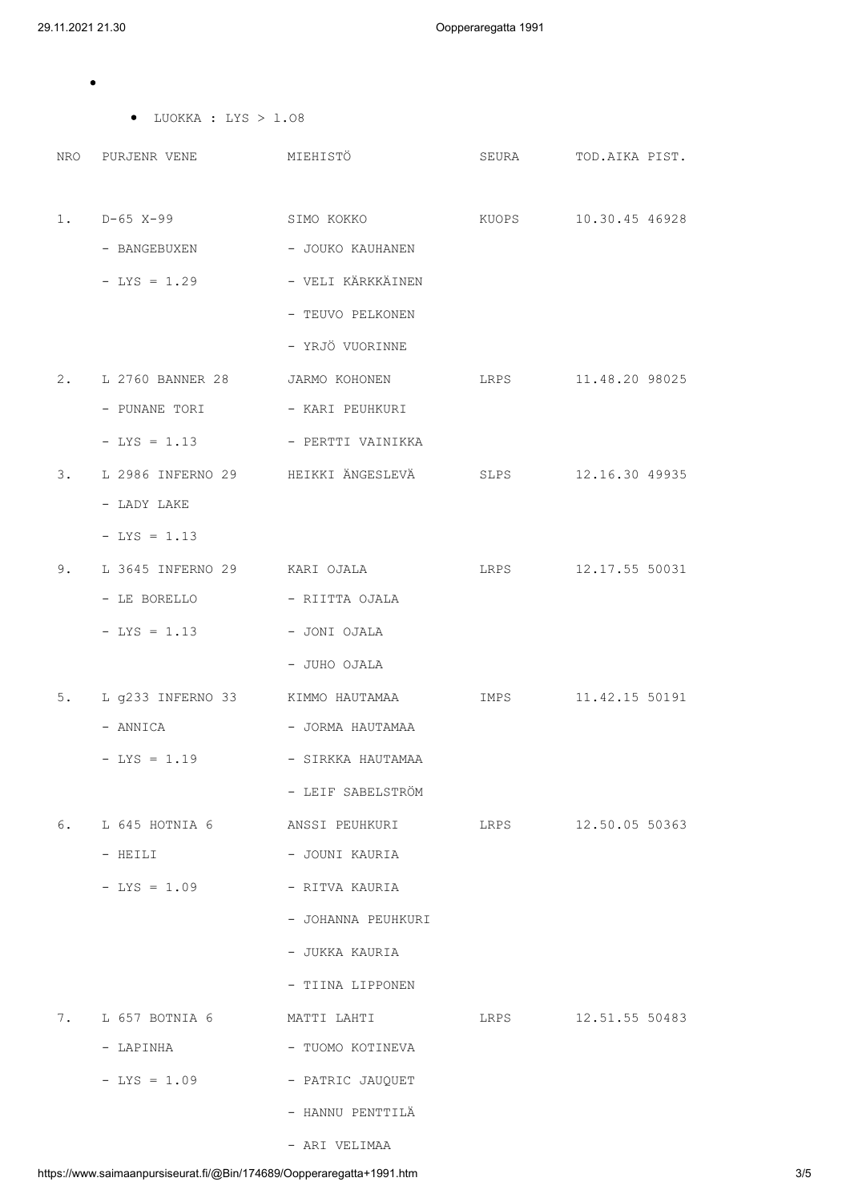$\bullet$ 

|    | $\bullet$ LUOKKA : LYS > 1.08                             |                                                                |                      |
|----|-----------------------------------------------------------|----------------------------------------------------------------|----------------------|
|    |                                                           | NRO PURJENR VENE MIEHISTÖ SEURA TOD. AIKA PIST.                |                      |
|    |                                                           |                                                                |                      |
|    | $1.$ $D-65$ $X-99$                                        | SIMO KOKKO                                                     | KUOPS 10.30.45 46928 |
|    | - BANGEBUXEN                               JOUKO KAUHANEN |                                                                |                      |
|    | - LYS = 1.29 - VELI KÄRKKÄINEN                            |                                                                |                      |
|    |                                                           | - TEUVO PELKONEN                                               |                      |
|    |                                                           | - YRJÖ VUORINNE                                                |                      |
|    |                                                           | 2. L 2760 BANNER 28 JARMO KOHONEN LRPS 11.48.20 98025          |                      |
|    | - PUNANE TORI - KARI PEUHKURI                             |                                                                |                      |
|    | $-LYS = 1.13$                                             | - PERTTI VAINIKKA                                              |                      |
| 3. |                                                           | L 2986 INFERNO 29 HEIKKI ÄNGESLEVÄ SLPS 12.16.30 49935         |                      |
|    | - LADY LAKE                                               |                                                                |                      |
|    | $-LYS = 1.13$                                             |                                                                |                      |
| 9. |                                                           | L 3645 INFERNO 29 KARI OJALA LRPS 12.17.55 50031               |                      |
|    | - LE BORELLO         - RIITTA OJALA                       |                                                                |                      |
|    | $-LYS = 1.13$                                             | - JONI OJALA                                                   |                      |
|    |                                                           | - JUHO OJALA                                                   |                      |
|    |                                                           | 5. L g233 INFERNO 33 KIMMO HAUTAMAA                            | IMPS 11.42.15 50191  |
|    | - ANNICA                                                  | - JORMA HAUTAMAA                                               |                      |
|    | - LYS = 1.19 - SIRKKA HAUTAMAA                            |                                                                |                      |
|    |                                                           | - LEIF SABELSTRÖM                                              |                      |
|    | 6. L 645 HOTNIA 6                                         | ANSSI PEUHKURI                 LRPS             12.50.05 50363 |                      |
|    | - HEILI                                                   | - JOUNI KAURIA                                                 |                      |
|    | $-LYS = 1.09$                                             | - RITVA KAURIA                                                 |                      |
|    |                                                           | - JOHANNA PEUHKURI                                             |                      |
|    |                                                           | - JUKKA KAURIA                                                 |                      |
|    |                                                           | - TIINA LIPPONEN                                               |                      |
|    |                                                           | 7. L 657 BOTNIA 6 MATTI LAHTI 1888 12.51.55 50483              |                      |
|    | - LAPINHA                                                 | - TUOMO KOTINEVA                                               |                      |
|    | $-LYS = 1.09$                                             | - PATRIC JAUQUET                                               |                      |
|    |                                                           | - HANNU PENTTILÄ                                               |                      |

- ARI VELIMAA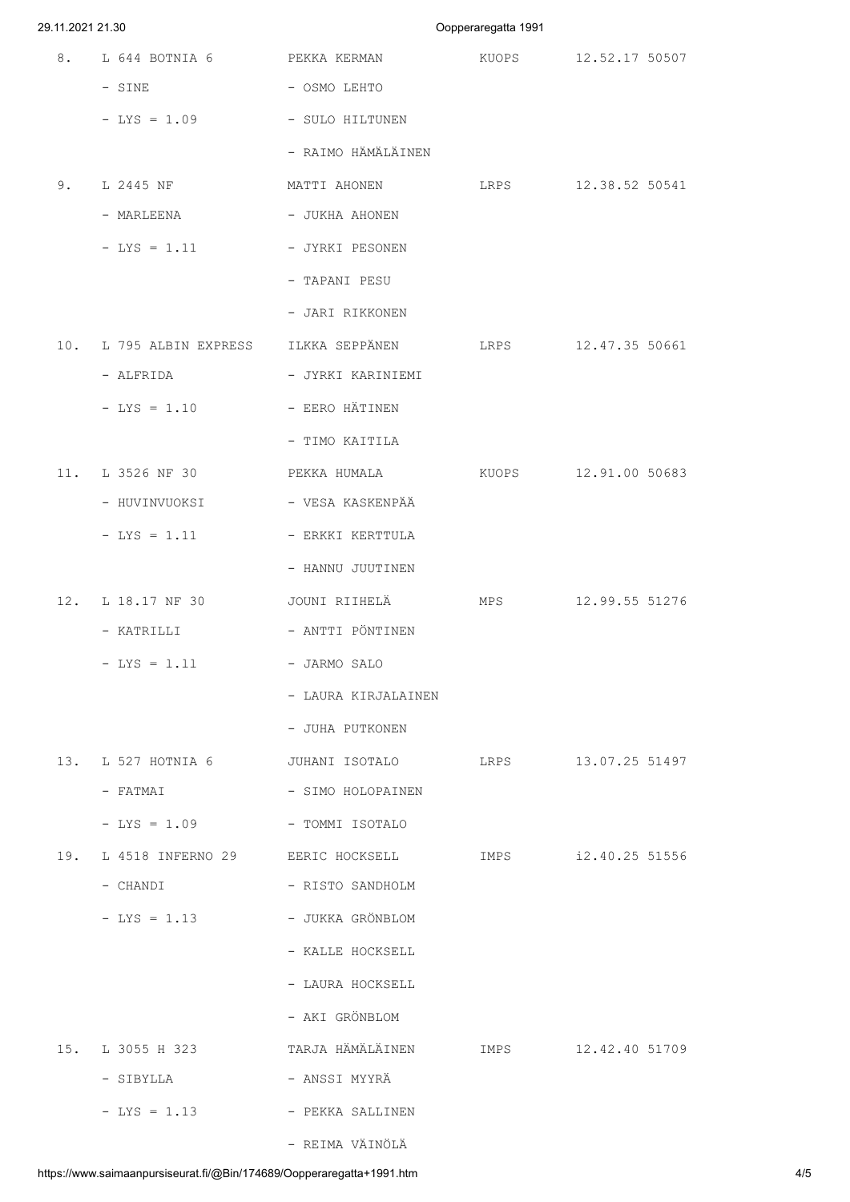## 29.11.2021 21.30 Oopperaregatta 1991

|     | 8. L 644 BOTNIA 6 PEKKA KERMAN                              |                                                                                                 | KUOPS 12.52.17 50507 |
|-----|-------------------------------------------------------------|-------------------------------------------------------------------------------------------------|----------------------|
|     | $-$ SINE                                                    | - OSMO LEHTO                                                                                    |                      |
|     | - LYS = 1.09 - SULO HILTUNEN                                |                                                                                                 |                      |
|     |                                                             | - RAIMO HÄMÄLÄINEN                                                                              |                      |
|     |                                                             | 9. L 2445 NF                     MATTI AHONEN                   LRPS             12.38.52 50541 |                      |
|     | - MARLEENA                                                  | - JUKHA AHONEN                                                                                  |                      |
|     | $-LYS = 1.11$                                               | - JYRKI PESONEN                                                                                 |                      |
|     |                                                             | - TAPANI PESU                                                                                   |                      |
|     |                                                             | - JARI RIKKONEN                                                                                 |                      |
|     |                                                             | 10. L 795 ALBIN EXPRESS    ILKKA SEPPÄNEN         LRPS         12.47.35 50661                   |                      |
|     | - ALFRIDA                                                   | - JYRKI KARINIEMI                                                                               |                      |
|     | $-$ LYS = 1.10 $-$ EERO HÄTINEN                             |                                                                                                 |                      |
|     |                                                             | - TIMO KAITILA                                                                                  |                      |
|     |                                                             | 11. L 3526 NF 30 PEKKA HUMALA KUOPS 12.91.00 50683                                              |                      |
|     | - HUVINVUOKSI                                               | - VESA KASKENPÄÄ                                                                                |                      |
|     | $-$ LYS $=$ 1.11                                            | - ERKKI KERTTULA                                                                                |                      |
|     |                                                             | - HANNU JUUTINEN                                                                                |                      |
|     |                                                             | 12. L 18.17 NF 30 JOUNI RIIHELÄ MPS 12.99.55 51276                                              |                      |
|     | - KATRILLI                                   ANTTI PÖNTINEN |                                                                                                 |                      |
|     | $-$ LYS = 1.11 $-$ JARMO SALO                               |                                                                                                 |                      |
|     |                                                             | - LAURA KIRJALAINEN                                                                             |                      |
|     |                                                             | - JUHA PUTKONEN                                                                                 |                      |
|     |                                                             | 13. L 527 HOTNIA 6 50 JUHANI ISOTALO 51RPS 13.07.25 51497                                       |                      |
|     | - FATMAI                                                    | - SIMO HOLOPAINEN                                                                               |                      |
|     | $-LYS = 1.09$                                               | - TOMMI ISOTALO                                                                                 |                      |
| 19. |                                                             | L 4518 INFERNO 29 EERIC HOCKSELL TMPS                                                           | i2.40.25 51556       |
|     | - CHANDI                                                    | - RISTO SANDHOLM                                                                                |                      |
|     | - LYS = 1.13 - JUKKA GRÖNBLOM                               |                                                                                                 |                      |
|     |                                                             | - KALLE HOCKSELL                                                                                |                      |
|     |                                                             | - LAURA HOCKSELL                                                                                |                      |
|     |                                                             | - AKI GRÖNBLOM                                                                                  |                      |
|     |                                                             |                                                                                                 | IMPS 12.42.40 51709  |
|     | - SIBYLLA                                                   | – ANSSI MYYRÄ                                                                                   |                      |
|     | $-LYS = 1.13$                                               | - PEKKA SALLINEN                                                                                |                      |
|     |                                                             | - REIMA VÄINÖLÄ                                                                                 |                      |